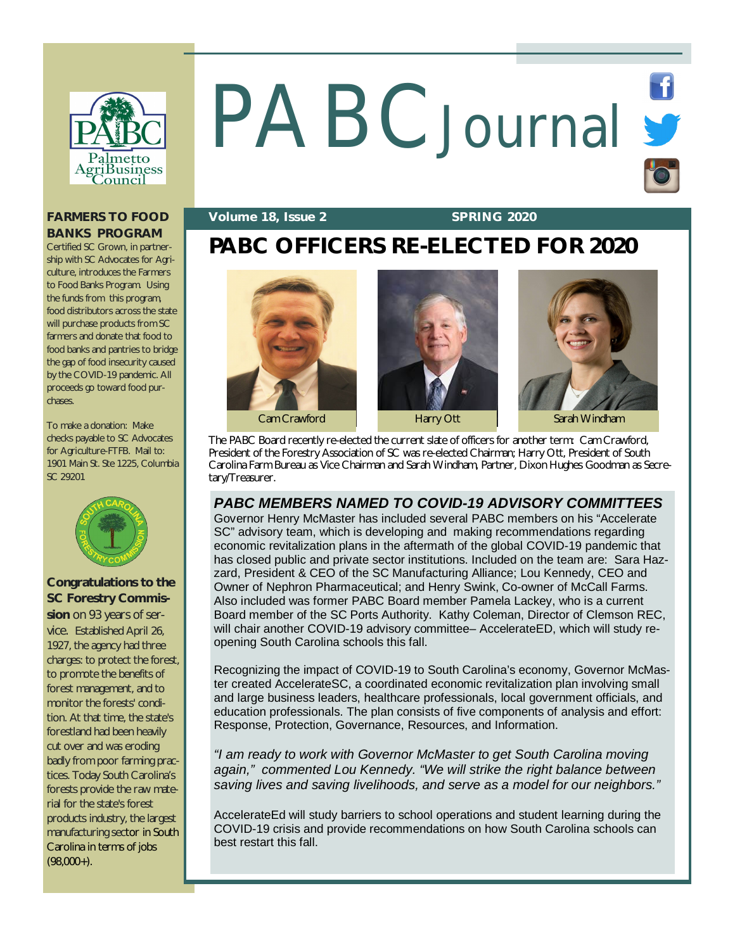

# PABC Journal S

## **FARMERS TO FOOD BANKS PROGRAM**

Certified SC Grown, in partnership with SC Advocates for Agriculture, introduces the Farmers to Food Banks Program. Using the funds from this program, food distributors across the state will purchase products from SC farmers and donate that food to food banks and pantries to bridge the gap of food insecurity caused by the COVID-19 pandemic. All proceeds go toward food purchases.

To make a donation: Make checks payable to SC Advocates for Agriculture-FTFB. Mail to: 1901 Main St. Ste 1225, Columbia SC 29201



## **Congratulations to the SC Forestry Commis-**

**sion** on 93 years of service. Established April 26, 1927, the agency had three charges: to protect the forest, to promote the benefits of forest management, and to monitor the forests' condition. At that time, the state's forestland had been heavily cut over and was eroding badly from poor farming practices. Today South Carolina's forests provide the raw material for the state's forest products industry, the largest manufacturing sector in South Carolina in terms of jobs  $(98.000+)$ .

## **Volume 18, Issue 2 SPRING 2020**

# **PABC OFFICERS RE-ELECTED FOR 2020**







The PABC Board recently re-elected the current slate of officers for another term: Cam Crawford, President of the Forestry Association of SC was re-elected Chairman; Harry Ott, President of South Carolina Farm Bureau as Vice Chairman and Sarah Windham, Partner, Dixon Hughes Goodman as Secretary/Treasurer.

## *PABC MEMBERS NAMED TO COVID-19 ADVISORY COMMITTEES*

Governor Henry McMaster has included several PABC members on his "Accelerate SC" advisory team, which is developing and making recommendations regarding economic revitalization plans in the aftermath of the global COVID-19 pandemic that has closed public and private sector institutions. Included on the team are: Sara Hazzard, President & CEO of the SC Manufacturing Alliance; Lou Kennedy, CEO and Owner of Nephron Pharmaceutical; and Henry Swink, Co-owner of McCall Farms. Also included was former PABC Board member Pamela Lackey, who is a current Board member of the SC Ports Authority. Kathy Coleman, Director of Clemson REC, will chair another COVID-19 advisory committee– AccelerateED, which will study reopening South Carolina schools this fall.

Recognizing the impact of COVID-19 to South Carolina's economy, Governor McMaster created AccelerateSC, a coordinated economic revitalization plan involving small and large business leaders, healthcare professionals, local government officials, and education professionals. The plan consists of five components of analysis and effort: Response, Protection, Governance, Resources, and Information.

*"I am ready to work with Governor McMaster to get South Carolina moving again," commented Lou Kennedy. "We will strike the right balance between saving lives and saving livelihoods, and serve as a model for our neighbors."* 

AccelerateEd will study barriers to school operations and student learning during the COVID-19 crisis and provide recommendations on how South Carolina schools can best restart this fall.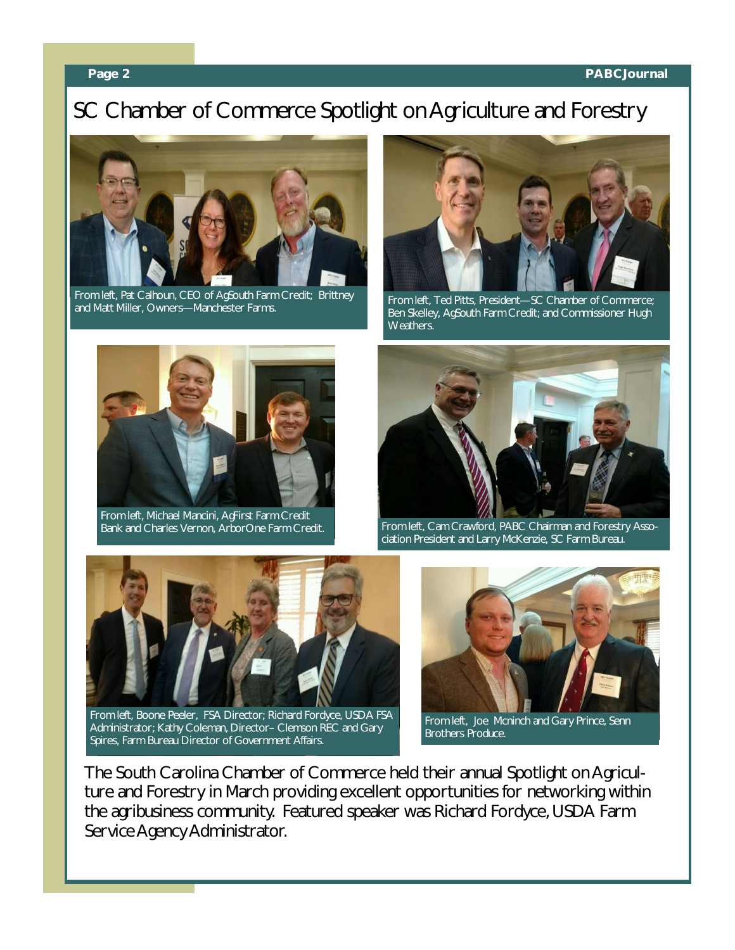## **Page 2 PABCJournal**

# SC Chamber of Commerce Spotlight on Agriculture and Forestry



From left, Pat Calhoun, CEO of AgSouth Farm Credit; Brittney From left, Ted Pitts, President—SC Chamber of Commerce;<br>and Matt Miller, Owners—Manchester Farms. From Luck Rep. Skelley, AnSouth Farm Credit: and Commissioner Hugh



Ben Skelley, AgSouth Farm Credit; and Commissioner Hugh Weathers.



From left, Michael Mancini, AgFirst Farm Credit



Bank and Charles Vernon, ArborOne Farm Credit. From left, Cam Crawford, PABC Chairman and Forestry Association President and Larry McKenzie, SC Farm Bureau.



From left, Boone Peeler, FSA Director; Richard Fordyce, USDA FSA Administrator; Kathy Coleman, Director– Clemson REC and Gary Spires, Farm Bureau Director of Government Affairs.



From left, Joe Mcninch and Gary Prince, Senn Brothers Produce.

The South Carolina Chamber of Commerce held their annual Spotlight on Agriculture and Forestry in March providing excellent opportunities for networking within the agribusiness community. Featured speaker was Richard Fordyce, USDA Farm Service Agency Administrator.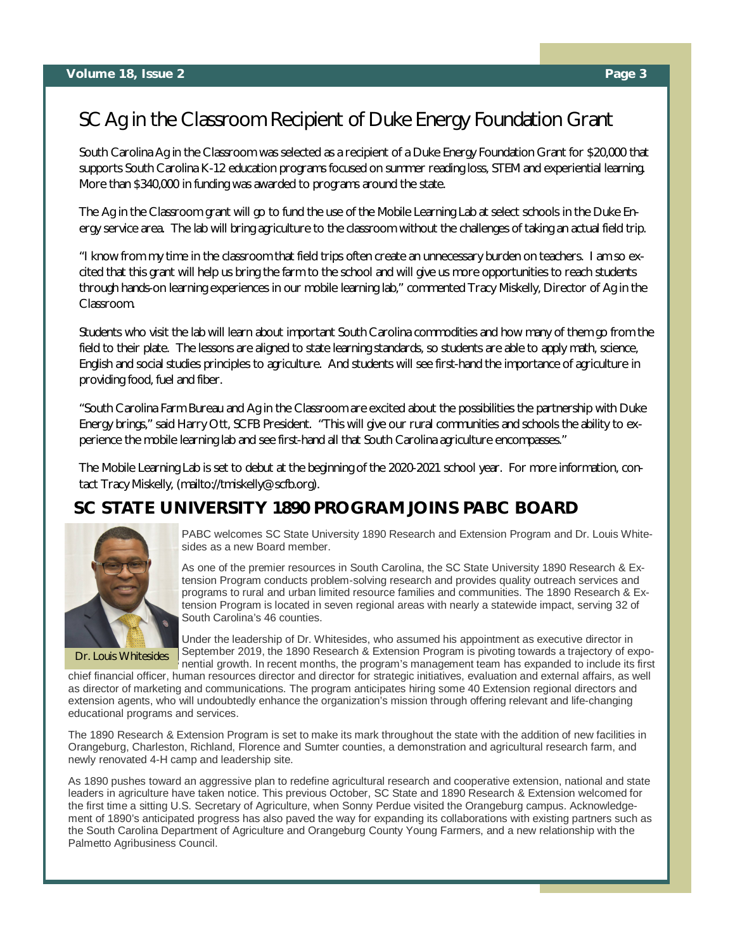## SC Ag in the Classroom Recipient of Duke Energy Foundation Grant

South Carolina Ag in the Classroom was selected as a recipient of a Duke Energy Foundation Grant for \$20,000 that supports South Carolina K-12 education programs focused on summer reading loss, STEM and experiential learning. More than \$340,000 in funding was awarded to programs around the state.

The Ag in the Classroom grant will go to fund the use of the Mobile Learning Lab at select schools in the Duke Energy service area. The lab will bring agriculture to the classroom without the challenges of taking an actual field trip.

"I know from my time in the classroom that field trips often create an unnecessary burden on teachers. I am so excited that this grant will help us bring the farm to the school and will give us more opportunities to reach students through hands-on learning experiences in our mobile learning lab," commented Tracy Miskelly, Director of Ag in the Classroom.

Students who visit the lab will learn about important South Carolina commodities and how many of them go from the field to their plate. The lessons are aligned to state learning standards, so students are able to apply math, science, English and social studies principles to agriculture. And students will see first-hand the importance of agriculture in providing food, fuel and fiber.

"South Carolina Farm Bureau and Ag in the Classroom are excited about the possibilities the partnership with Duke Energy brings," said Harry Ott, SCFB President. "This will give our rural communities and schools the ability to experience the mobile learning lab and see first-hand all that South Carolina agriculture encompasses."

The Mobile Learning Lab is set to debut at the beginning of the 2020-2021 school year. For more information, contact Tracy Miskelly, [\(mailto://tmiskelly@scfb.org\).](mailto://tmiskelly@scfb.org).)

## **SC STATE UNIVERSITY 1890 PROGRAM JOINS PABC BOARD**



Dr. Louis Whitesides

PABC welcomes SC State University 1890 Research and Extension Program and Dr. Louis Whitesides as a new Board member.

As one of the premier resources in South Carolina, the SC State University 1890 Research & Extension Program conducts problem-solving research and provides quality outreach services and programs to rural and urban limited resource families and communities. The 1890 Research & Extension Program is located in seven regional areas with nearly a statewide impact, serving 32 of South Carolina's 46 counties.

Under the leadership of Dr. Whitesides, who assumed his appointment as executive director in September 2019, the 1890 Research & Extension Program is pivoting towards a trajectory of exponential growth. In recent months, the program's management team has expanded to include its first

chief financial officer, human resources director and director for strategic initiatives, evaluation and external affairs, as well as director of marketing and communications. The program anticipates hiring some 40 Extension regional directors and extension agents, who will undoubtedly enhance the organization's mission through offering relevant and life-changing educational programs and services.

The 1890 Research & Extension Program is set to make its mark throughout the state with the addition of new facilities in Orangeburg, Charleston, Richland, Florence and Sumter counties, a demonstration and agricultural research farm, and newly renovated 4-H camp and leadership site.

As 1890 pushes toward an aggressive plan to redefine agricultural research and cooperative extension, national and state leaders in agriculture have taken notice. This previous October, SC State and 1890 Research & Extension welcomed for the first time a sitting U.S. Secretary of Agriculture, when Sonny Perdue visited the Orangeburg campus. Acknowledgement of 1890's anticipated progress has also paved the way for expanding its collaborations with existing partners such as the South Carolina Department of Agriculture and Orangeburg County Young Farmers, and a new relationship with the Palmetto Agribusiness Council.